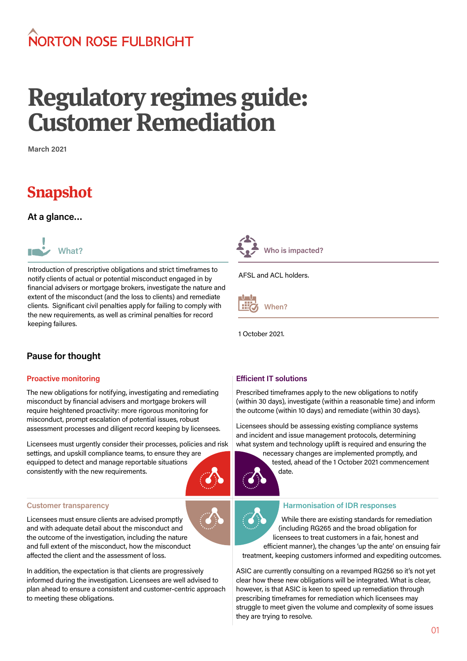## NORTON ROSE FUI BRIGHT

# **Regulatory regimes guide: Customer Remediation**

**March 2021**

### **Snapshot**

**At a glance…**



Introduction of prescriptive obligations and strict timeframes to notify clients of actual or potential misconduct engaged in by financial advisers or mortgage brokers, investigate the nature and extent of the misconduct (and the loss to clients) and remediate clients. Significant civil penalties apply for failing to comply with the new requirements, as well as criminal penalties for record keeping failures.



AFSL and ACL holders.

**When?** 

1 October 2021.

#### **Pause for thought**

#### **Proactive monitoring**

The new obligations for notifying, investigating and remediating misconduct by financial advisers and mortgage brokers will require heightened proactivity: more rigorous monitoring for misconduct, prompt escalation of potential issues, robust assessment processes and diligent record keeping by licensees.

Licensees must urgently consider their processes, policies and risk settings, and upskill compliance teams, to ensure they are equipped to detect and manage reportable situations consistently with the new requirements.

#### **Customer transparency**

Licensees must ensure clients are advised promptly and with adequate detail about the misconduct and the outcome of the investigation, including the nature and full extent of the misconduct, how the misconduct affected the client and the assessment of loss.

In addition, the expectation is that clients are progressively informed during the investigation. Licensees are well advised to plan ahead to ensure a consistent and customer-centric approach to meeting these obligations.

#### **Efficient IT solutions**

Prescribed timeframes apply to the new obligations to notify (within 30 days), investigate (within a reasonable time) and inform the outcome (within 10 days) and remediate (within 30 days).

Licensees should be assessing existing compliance systems and incident and issue management protocols, determining what system and technology uplift is required and ensuring the

necessary changes are implemented promptly, and tested, ahead of the 1 October 2021 commencement date.



#### **Harmonisation of IDR responses**

While there are existing standards for remediation (including RG265 and the broad obligation for licensees to treat customers in a fair, honest and efficient manner), the changes 'up the ante' on ensuing fair treatment, keeping customers informed and expediting outcomes.

ASIC are currently consulting on a revamped RG256 so it's not yet clear how these new obligations will be integrated. What is clear, however, is that ASIC is keen to speed up remediation through prescribing timeframes for remediation which licensees may struggle to meet given the volume and complexity of some issues they are trying to resolve.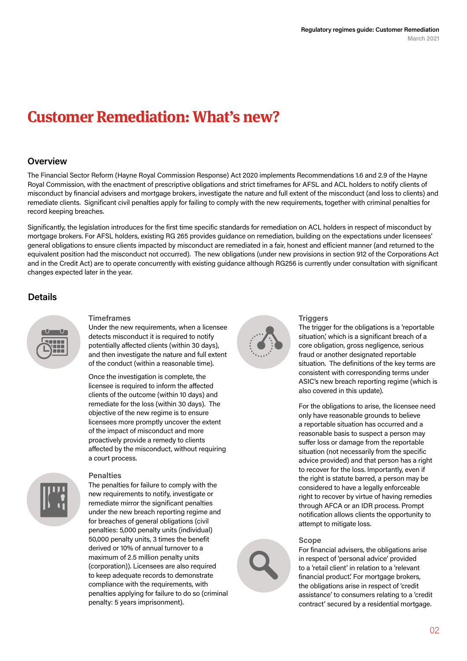### **Customer Remediation: What's new?**

#### **Overview**

The Financial Sector Reform (Hayne Royal Commission Response) Act 2020 implements Recommendations 1.6 and 2.9 of the Hayne Royal Commission, with the enactment of prescriptive obligations and strict timeframes for AFSL and ACL holders to notify clients of misconduct by financial advisers and mortgage brokers, investigate the nature and full extent of the misconduct (and loss to clients) and remediate clients. Significant civil penalties apply for failing to comply with the new requirements, together with criminal penalties for record keeping breaches.

Significantly, the legislation introduces for the first time specific standards for remediation on ACL holders in respect of misconduct by mortgage brokers. For AFSL holders, existing RG 265 provides guidance on remediation, building on the expectations under licensees' general obligations to ensure clients impacted by misconduct are remediated in a fair, honest and efficient manner (and returned to the equivalent position had the misconduct not occurred). The new obligations (under new provisions in section 912 of the Corporations Act and in the Credit Act) are to operate concurrently with existing guidance although RG256 is currently under consultation with significant changes expected later in the year.

#### **Details**



#### **Timeframes**

Under the new requirements, when a licensee detects misconduct it is required to notify potentially affected clients (within 30 days), and then investigate the nature and full extent of the conduct (within a reasonable time).

Once the investigation is complete, the licensee is required to inform the affected clients of the outcome (within 10 days) and remediate for the loss (within 30 days). The objective of the new regime is to ensure licensees more promptly uncover the extent of the impact of misconduct and more proactively provide a remedy to clients affected by the misconduct, without requiring a court process.

#### **Penalties**

The penalties for failure to comply with the new requirements to notify, investigate or remediate mirror the significant penalties under the new breach reporting regime and for breaches of general obligations (civil penalties: 5,000 penalty units (individual) 50,000 penalty units, 3 times the benefit derived or 10% of annual turnover to a maximum of 2.5 million penalty units (corporation)). Licensees are also required to keep adequate records to demonstrate compliance with the requirements, with penalties applying for failure to do so (criminal penalty: 5 years imprisonment).



#### **Triggers**

The trigger for the obligations is a 'reportable situation,' which is a significant breach of a core obligation, gross negligence, serious fraud or another designated reportable situation. The definitions of the key terms are consistent with corresponding terms under ASIC's new breach reporting regime (which is also covered in this update).

For the obligations to arise, the licensee need only have reasonable grounds to believe a reportable situation has occurred and a reasonable basis to suspect a person may suffer loss or damage from the reportable situation (not necessarily from the specific advice provided) and that person has a right to recover for the loss. Importantly, even if the right is statute barred, a person may be considered to have a legally enforceable right to recover by virtue of having remedies through AFCA or an IDR process. Prompt notification allows clients the opportunity to attempt to mitigate loss.

#### **Scope**

For financial advisers, the obligations arise in respect of 'personal advice' provided to a 'retail client' in relation to a 'relevant financial product.' For mortgage brokers, the obligations arise in respect of 'credit assistance' to consumers relating to a 'credit contract' secured by a residential mortgage.